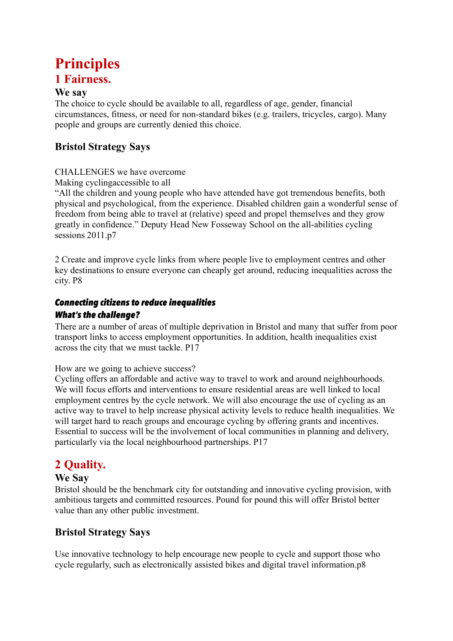# **Principles**

# **1 Fairness.**

### **We say**

The choice to cycle should be available to all, regardless of age, gender, financial circumstances, fitness, or need for non-standard bikes (e.g. trailers, tricycles, cargo). Many people and groups are currently denied this choice.

# **Bristol Strategy Says**

### CHALLENGES we have overcome

Making cyclingaccessible to all

"All the children and young people who have attended have got tremendous benefits, both physical and psychological, from the experience. Disabled children gain a wonderful sense of freedom from being able to travel at (relative) speed and propel themselves and they grow greatly in confidence." Deputy Head New Fosseway School on the all-abilities cycling sessions 2011.p7

2 Create and improve cycle links from where people live to employment centres and other key destinations to ensure everyone can cheaply get around, reducing inequalities across the city. P8

# *Connecting citizens to reduce inequalities*

### *What's the challenge?*

There are a number of areas of multiple deprivation in Bristol and many that suffer from poor transport links to access employment opportunities. In addition, health inequalities exist across the city that we must tackle. P17

How are we going to achieve success?

Cycling offers an affordable and active way to travel to work and around neighbourhoods. We will focus efforts and interventions to ensure residential areas are well linked to local employment centres by the cycle network. We will also encourage the use of cycling as an active way to travel to help increase physical activity levels to reduce health inequalities. We will target hard to reach groups and encourage cycling by offering grants and incentives. Essential to success will be the involvement of local communities in planning and delivery, particularly via the local neighbourhood partnerships. P17

# **2 Quality.**

## **We Say**

Bristol should be the benchmark city for outstanding and innovative cycling provision, with ambitious targets and committed resources. Pound for pound this will offer Bristol better value than any other public investment.

# **Bristol Strategy Says**

Use innovative technology to help encourage new people to cycle and support those who cycle regularly, such as electronically assisted bikes and digital travel information.p8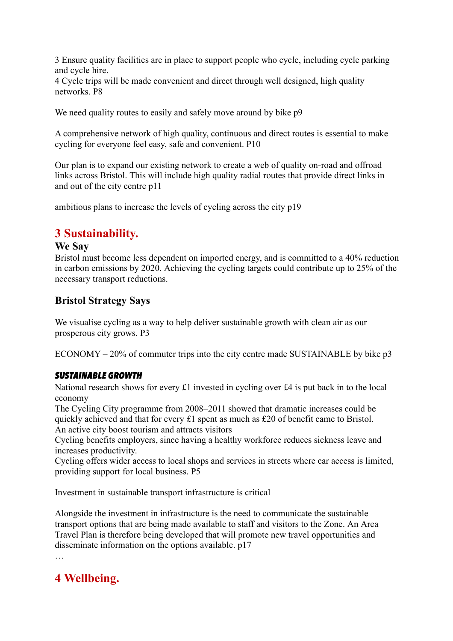3 Ensure quality facilities are in place to support people who cycle, including cycle parking and cycle hire.

4 Cycle trips will be made convenient and direct through well designed, high quality networks. P8

We need quality routes to easily and safely move around by bike  $p9$ 

A comprehensive network of high quality, continuous and direct routes is essential to make cycling for everyone feel easy, safe and convenient. P10

Our plan is to expand our existing network to create a web of quality on-road and offroad links across Bristol. This will include high quality radial routes that provide direct links in and out of the city centre p11

ambitious plans to increase the levels of cycling across the city p19

# **3 Sustainability.**

#### **We Say**

Bristol must become less dependent on imported energy, and is committed to a 40% reduction in carbon emissions by 2020. Achieving the cycling targets could contribute up to 25% of the necessary transport reductions.

## **Bristol Strategy Says**

We visualise cycling as a way to help deliver sustainable growth with clean air as our prosperous city grows. P3

ECONOMY – 20% of commuter trips into the city centre made SUSTAINABLE by bike p3

#### *SUSTAINABLE GROWTH*

National research shows for every £1 invested in cycling over £4 is put back in to the local economy

The Cycling City programme from 2008–2011 showed that dramatic increases could be quickly achieved and that for every £1 spent as much as £20 of benefit came to Bristol. An active city boost tourism and attracts visitors

Cycling benefits employers, since having a healthy workforce reduces sickness leave and increases productivity.

Cycling offers wider access to local shops and services in streets where car access is limited, providing support for local business. P5

Investment in sustainable transport infrastructure is critical

Alongside the investment in infrastructure is the need to communicate the sustainable transport options that are being made available to staff and visitors to the Zone. An Area Travel Plan is therefore being developed that will promote new travel opportunities and disseminate information on the options available. p17

…

# **4 Wellbeing.**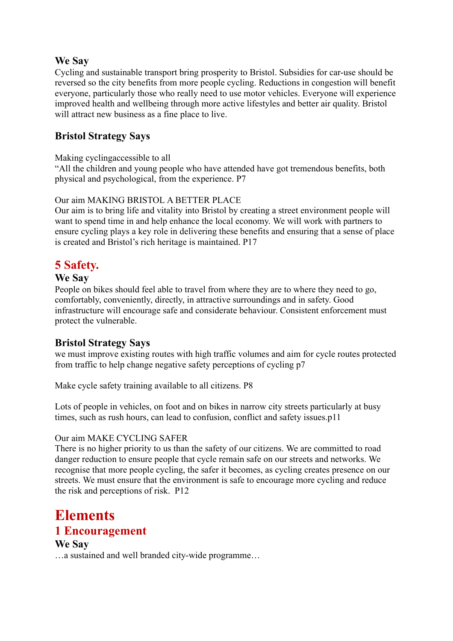#### **We Say**

Cycling and sustainable transport bring prosperity to Bristol. Subsidies for car-use should be reversed so the city benefits from more people cycling. Reductions in congestion will benefit everyone, particularly those who really need to use motor vehicles. Everyone will experience improved health and wellbeing through more active lifestyles and better air quality. Bristol will attract new business as a fine place to live.

## **Bristol Strategy Says**

#### Making cyclingaccessible to all

"All the children and young people who have attended have got tremendous benefits, both physical and psychological, from the experience. P7

#### Our aim MAKING BRISTOL A BETTER PLACE

Our aim is to bring life and vitality into Bristol by creating a street environment people will want to spend time in and help enhance the local economy. We will work with partners to ensure cycling plays a key role in delivering these benefits and ensuring that a sense of place is created and Bristol's rich heritage is maintained. P17

# **5 Safety.**

#### **We Say**

People on bikes should feel able to travel from where they are to where they need to go, comfortably, conveniently, directly, in attractive surroundings and in safety. Good infrastructure will encourage safe and considerate behaviour. Consistent enforcement must protect the vulnerable.

## **Bristol Strategy Says**

we must improve existing routes with high traffic volumes and aim for cycle routes protected from traffic to help change negative safety perceptions of cycling p7

Make cycle safety training available to all citizens. P8

Lots of people in vehicles, on foot and on bikes in narrow city streets particularly at busy times, such as rush hours, can lead to confusion, conflict and safety issues.p11

#### Our aim MAKE CYCLING SAFER

There is no higher priority to us than the safety of our citizens. We are committed to road danger reduction to ensure people that cycle remain safe on our streets and networks. We recognise that more people cycling, the safer it becomes, as cycling creates presence on our streets. We must ensure that the environment is safe to encourage more cycling and reduce the risk and perceptions of risk. P12

# **Elements**

## **1 Encouragement**

#### **We Say**

…a sustained and well branded city-wide programme…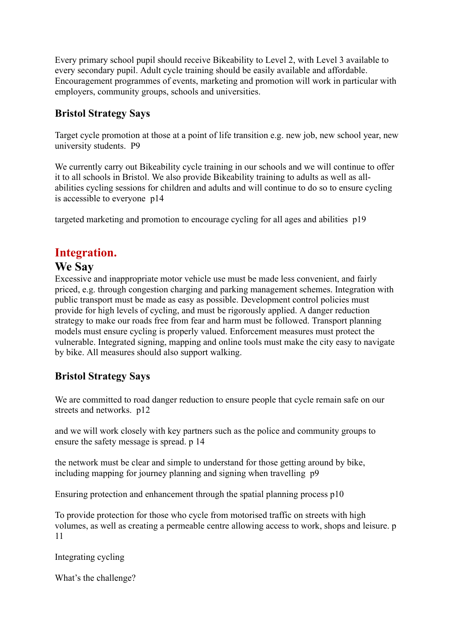Every primary school pupil should receive Bikeability to Level 2, with Level 3 available to every secondary pupil. Adult cycle training should be easily available and affordable. Encouragement programmes of events, marketing and promotion will work in particular with employers, community groups, schools and universities.

## **Bristol Strategy Says**

Target cycle promotion at those at a point of life transition e.g. new job, new school year, new university students. P9

We currently carry out Bikeability cycle training in our schools and we will continue to offer it to all schools in Bristol. We also provide Bikeability training to adults as well as allabilities cycling sessions for children and adults and will continue to do so to ensure cycling is accessible to everyone p14

targeted marketing and promotion to encourage cycling for all ages and abilities p19

# **Integration.**

# **We Say**

Excessive and inappropriate motor vehicle use must be made less convenient, and fairly priced, e.g. through congestion charging and parking management schemes. Integration with public transport must be made as easy as possible. Development control policies must provide for high levels of cycling, and must be rigorously applied. A danger reduction strategy to make our roads free from fear and harm must be followed. Transport planning models must ensure cycling is properly valued. Enforcement measures must protect the vulnerable. Integrated signing, mapping and online tools must make the city easy to navigate by bike. All measures should also support walking.

## **Bristol Strategy Says**

We are committed to road danger reduction to ensure people that cycle remain safe on our streets and networks. p12

and we will work closely with key partners such as the police and community groups to ensure the safety message is spread. p 14

the network must be clear and simple to understand for those getting around by bike, including mapping for journey planning and signing when travelling p9

Ensuring protection and enhancement through the spatial planning process p10

To provide protection for those who cycle from motorised traffic on streets with high volumes, as well as creating a permeable centre allowing access to work, shops and leisure. p 11

Integrating cycling

What's the challenge?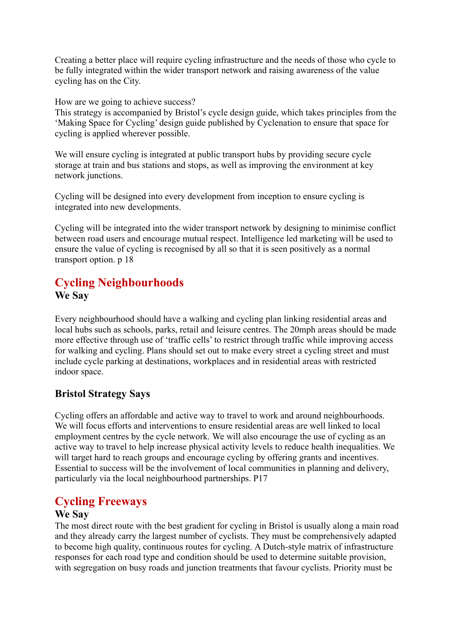Creating a better place will require cycling infrastructure and the needs of those who cycle to be fully integrated within the wider transport network and raising awareness of the value cycling has on the City.

How are we going to achieve success?

This strategy is accompanied by Bristol's cycle design guide, which takes principles from the 'Making Space for Cycling' design guide published by Cyclenation to ensure that space for cycling is applied wherever possible.

We will ensure cycling is integrated at public transport hubs by providing secure cycle storage at train and bus stations and stops, as well as improving the environment at key network junctions.

Cycling will be designed into every development from inception to ensure cycling is integrated into new developments.

Cycling will be integrated into the wider transport network by designing to minimise conflict between road users and encourage mutual respect. Intelligence led marketing will be used to ensure the value of cycling is recognised by all so that it is seen positively as a normal transport option. p 18

# **Cycling Neighbourhoods We Say**

Every neighbourhood should have a walking and cycling plan linking residential areas and local hubs such as schools, parks, retail and leisure centres. The 20mph areas should be made more effective through use of 'traffic cells' to restrict through traffic while improving access for walking and cycling. Plans should set out to make every street a cycling street and must include cycle parking at destinations, workplaces and in residential areas with restricted indoor space.

# **Bristol Strategy Says**

Cycling offers an affordable and active way to travel to work and around neighbourhoods. We will focus efforts and interventions to ensure residential areas are well linked to local employment centres by the cycle network. We will also encourage the use of cycling as an active way to travel to help increase physical activity levels to reduce health inequalities. We will target hard to reach groups and encourage cycling by offering grants and incentives. Essential to success will be the involvement of local communities in planning and delivery, particularly via the local neighbourhood partnerships. P17

# **Cycling Freeways**

#### **We Say**

The most direct route with the best gradient for cycling in Bristol is usually along a main road and they already carry the largest number of cyclists. They must be comprehensively adapted to become high quality, continuous routes for cycling. A Dutch-style matrix of infrastructure responses for each road type and condition should be used to determine suitable provision, with segregation on busy roads and junction treatments that favour cyclists. Priority must be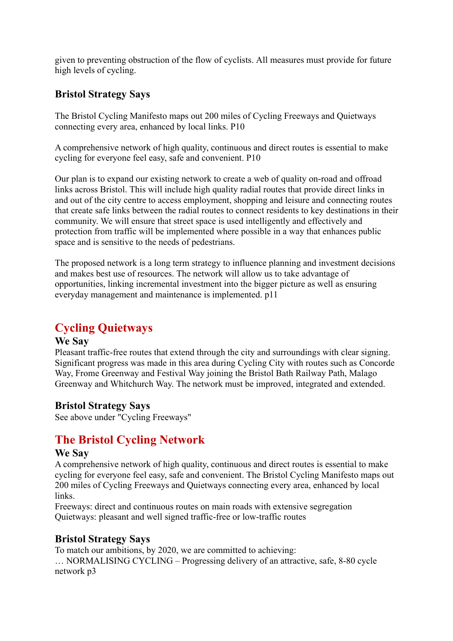given to preventing obstruction of the flow of cyclists. All measures must provide for future high levels of cycling.

## **Bristol Strategy Says**

The Bristol Cycling Manifesto maps out 200 miles of Cycling Freeways and Quietways connecting every area, enhanced by local links. P10

A comprehensive network of high quality, continuous and direct routes is essential to make cycling for everyone feel easy, safe and convenient. P10

Our plan is to expand our existing network to create a web of quality on-road and offroad links across Bristol. This will include high quality radial routes that provide direct links in and out of the city centre to access employment, shopping and leisure and connecting routes that create safe links between the radial routes to connect residents to key destinations in their community. We will ensure that street space is used intelligently and effectively and protection from traffic will be implemented where possible in a way that enhances public space and is sensitive to the needs of pedestrians.

The proposed network is a long term strategy to influence planning and investment decisions and makes best use of resources. The network will allow us to take advantage of opportunities, linking incremental investment into the bigger picture as well as ensuring everyday management and maintenance is implemented. p11

# **Cycling Quietways**

#### **We Say**

Pleasant traffic-free routes that extend through the city and surroundings with clear signing. Significant progress was made in this area during Cycling City with routes such as Concorde Way, Frome Greenway and Festival Way joining the Bristol Bath Railway Path, Malago Greenway and Whitchurch Way. The network must be improved, integrated and extended.

## **Bristol Strategy Says**

See above under "Cycling Freeways"

# **The Bristol Cycling Network**

#### **We Say**

A comprehensive network of high quality, continuous and direct routes is essential to make cycling for everyone feel easy, safe and convenient. The Bristol Cycling Manifesto maps out 200 miles of Cycling Freeways and Quietways connecting every area, enhanced by local links.

Freeways: direct and continuous routes on main roads with extensive segregation Quietways: pleasant and well signed traffic-free or low-traffic routes

## **Bristol Strategy Says**

To match our ambitions, by 2020, we are committed to achieving:

… NORMALISING CYCLING – Progressing delivery of an attractive, safe, 8-80 cycle network p3